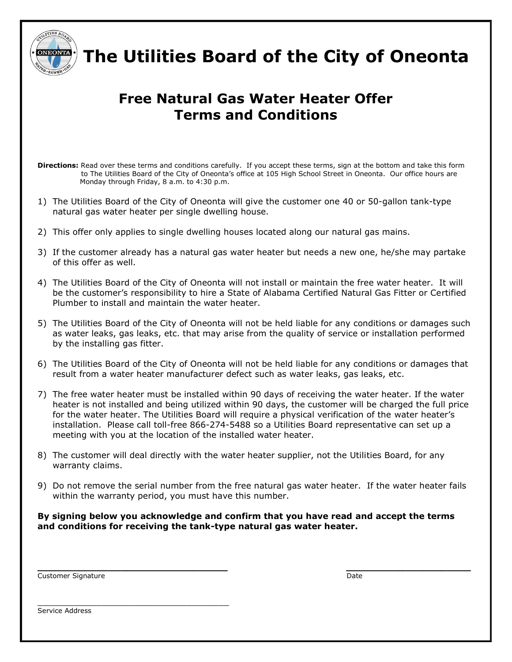

 **The Utilities Board of the City of Oneonta**

# **Free Natural Gas Water Heater Offer Terms and Conditions**

- **Directions:** Read over these terms and conditions carefully. If you accept these terms, sign at the bottom and take this form to The Utilities Board of the City of Oneonta's office at 105 High School Street in Oneonta. Our office hours are Monday through Friday, 8 a.m. to 4:30 p.m.
- 1) The Utilities Board of the City of Oneonta will give the customer one 40 or 50-gallon tank-type natural gas water heater per single dwelling house.
- 2) This offer only applies to single dwelling houses located along our natural gas mains.
- 3) If the customer already has a natural gas water heater but needs a new one, he/she may partake of this offer as well.
- 4) The Utilities Board of the City of Oneonta will not install or maintain the free water heater. It will be the customer's responsibility to hire a State of Alabama Certified Natural Gas Fitter or Certified Plumber to install and maintain the water heater.
- 5) The Utilities Board of the City of Oneonta will not be held liable for any conditions or damages such as water leaks, gas leaks, etc. that may arise from the quality of service or installation performed by the installing gas fitter.
- 6) The Utilities Board of the City of Oneonta will not be held liable for any conditions or damages that result from a water heater manufacturer defect such as water leaks, gas leaks, etc.
- 7) The free water heater must be installed within 90 days of receiving the water heater. If the water heater is not installed and being utilized within 90 days, the customer will be charged the full price for the water heater. The Utilities Board will require a physical verification of the water heater's installation. Please call toll-free 866-274-5488 so a Utilities Board representative can set up a meeting with you at the location of the installed water heater.
- 8) The customer will deal directly with the water heater supplier, not the Utilities Board, for any warranty claims.
- 9) Do not remove the serial number from the free natural gas water heater. If the water heater fails within the warranty period, you must have this number.

**By signing below you acknowledge and confirm that you have read and accept the terms and conditions for receiving the tank-type natural gas water heater.**

**\_\_\_\_\_\_\_\_\_\_\_\_\_\_\_\_\_\_\_\_\_\_\_\_\_\_\_\_\_\_\_\_ \_\_\_\_\_\_\_\_\_\_\_\_\_\_\_\_\_\_\_\_\_**

| <b>Customer Signature</b> | Date |
|---------------------------|------|
|---------------------------|------|

\_\_\_\_\_\_\_\_\_\_\_\_\_\_\_\_\_\_\_\_\_\_\_\_\_\_\_\_\_\_\_\_\_\_\_\_

Service Address